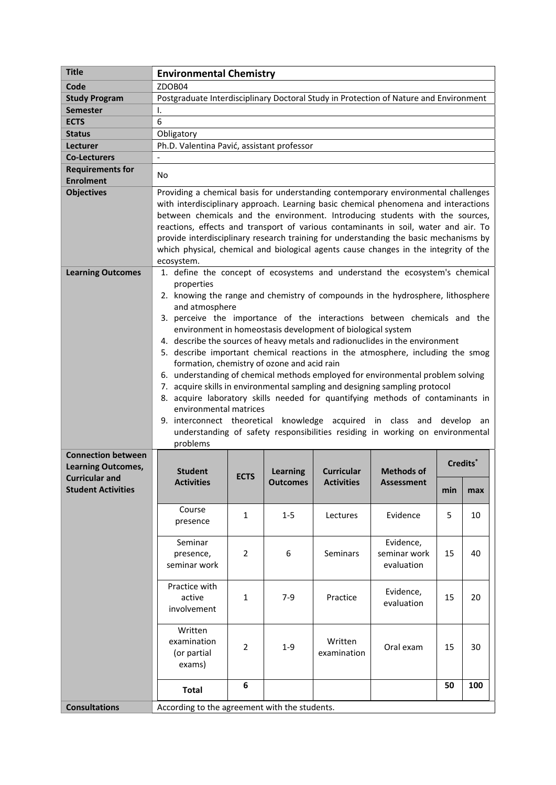| <b>Title</b>                                                                    | <b>Environmental Chemistry</b>                                                                                                                                                                                                                                                                                                                                                                                                                                                                                                                                                                                                                                                                                                                                                                                                                                                                                                                                                                                  |                |            |                        |                                           |     |     |
|---------------------------------------------------------------------------------|-----------------------------------------------------------------------------------------------------------------------------------------------------------------------------------------------------------------------------------------------------------------------------------------------------------------------------------------------------------------------------------------------------------------------------------------------------------------------------------------------------------------------------------------------------------------------------------------------------------------------------------------------------------------------------------------------------------------------------------------------------------------------------------------------------------------------------------------------------------------------------------------------------------------------------------------------------------------------------------------------------------------|----------------|------------|------------------------|-------------------------------------------|-----|-----|
| Code                                                                            | ZDOB04                                                                                                                                                                                                                                                                                                                                                                                                                                                                                                                                                                                                                                                                                                                                                                                                                                                                                                                                                                                                          |                |            |                        |                                           |     |     |
| <b>Study Program</b>                                                            | Postgraduate Interdisciplinary Doctoral Study in Protection of Nature and Environment                                                                                                                                                                                                                                                                                                                                                                                                                                                                                                                                                                                                                                                                                                                                                                                                                                                                                                                           |                |            |                        |                                           |     |     |
| <b>Semester</b>                                                                 | Ι.                                                                                                                                                                                                                                                                                                                                                                                                                                                                                                                                                                                                                                                                                                                                                                                                                                                                                                                                                                                                              |                |            |                        |                                           |     |     |
| <b>ECTS</b>                                                                     |                                                                                                                                                                                                                                                                                                                                                                                                                                                                                                                                                                                                                                                                                                                                                                                                                                                                                                                                                                                                                 | 6              |            |                        |                                           |     |     |
| <b>Status</b>                                                                   | Obligatory                                                                                                                                                                                                                                                                                                                                                                                                                                                                                                                                                                                                                                                                                                                                                                                                                                                                                                                                                                                                      |                |            |                        |                                           |     |     |
| Lecturer                                                                        | Ph.D. Valentina Pavić, assistant professor                                                                                                                                                                                                                                                                                                                                                                                                                                                                                                                                                                                                                                                                                                                                                                                                                                                                                                                                                                      |                |            |                        |                                           |     |     |
| <b>Co-Lecturers</b>                                                             | $\blacksquare$                                                                                                                                                                                                                                                                                                                                                                                                                                                                                                                                                                                                                                                                                                                                                                                                                                                                                                                                                                                                  |                |            |                        |                                           |     |     |
| <b>Requirements for</b><br><b>Enrolment</b>                                     | No                                                                                                                                                                                                                                                                                                                                                                                                                                                                                                                                                                                                                                                                                                                                                                                                                                                                                                                                                                                                              |                |            |                        |                                           |     |     |
| <b>Objectives</b>                                                               | Providing a chemical basis for understanding contemporary environmental challenges<br>with interdisciplinary approach. Learning basic chemical phenomena and interactions<br>between chemicals and the environment. Introducing students with the sources,<br>reactions, effects and transport of various contaminants in soil, water and air. To<br>provide interdisciplinary research training for understanding the basic mechanisms by<br>which physical, chemical and biological agents cause changes in the integrity of the<br>ecosystem.                                                                                                                                                                                                                                                                                                                                                                                                                                                                |                |            |                        |                                           |     |     |
| <b>Learning Outcomes</b>                                                        | 1. define the concept of ecosystems and understand the ecosystem's chemical<br>properties<br>2. knowing the range and chemistry of compounds in the hydrosphere, lithosphere<br>and atmosphere<br>3. perceive the importance of the interactions between chemicals and the<br>environment in homeostasis development of biological system<br>4. describe the sources of heavy metals and radionuclides in the environment<br>5. describe important chemical reactions in the atmosphere, including the smog<br>formation, chemistry of ozone and acid rain<br>6. understanding of chemical methods employed for environmental problem solving<br>7. acquire skills in environmental sampling and designing sampling protocol<br>8. acquire laboratory skills needed for quantifying methods of contaminants in<br>environmental matrices<br>9. interconnect theoretical knowledge acquired in class and develop an<br>understanding of safety responsibilities residing in working on environmental<br>problems |                |            |                        |                                           |     |     |
| <b>Connection between</b><br><b>Learning Outcomes,</b><br><b>Curricular and</b> | <b>Student</b>                                                                                                                                                                                                                                                                                                                                                                                                                                                                                                                                                                                                                                                                                                                                                                                                                                                                                                                                                                                                  | <b>ECTS</b>    | Learning   | <b>Curricular</b>      | Credits <sup>*</sup><br><b>Methods of</b> |     |     |
| <b>Student Activities</b>                                                       | <b>Activities</b>                                                                                                                                                                                                                                                                                                                                                                                                                                                                                                                                                                                                                                                                                                                                                                                                                                                                                                                                                                                               |                | Outcomes L | <b>Activities</b>      | Assessment                                | min | max |
|                                                                                 | Course<br>presence                                                                                                                                                                                                                                                                                                                                                                                                                                                                                                                                                                                                                                                                                                                                                                                                                                                                                                                                                                                              | 1              | $1 - 5$    | Lectures               | Evidence                                  | 5   | 10  |
|                                                                                 | Seminar<br>presence,<br>seminar work                                                                                                                                                                                                                                                                                                                                                                                                                                                                                                                                                                                                                                                                                                                                                                                                                                                                                                                                                                            | $\overline{2}$ | 6          | Seminars               | Evidence,<br>seminar work<br>evaluation   | 15  | 40  |
|                                                                                 | Practice with<br>active<br>involvement                                                                                                                                                                                                                                                                                                                                                                                                                                                                                                                                                                                                                                                                                                                                                                                                                                                                                                                                                                          | 1              | $7-9$      | Practice               | Evidence,<br>evaluation                   | 15  | 20  |
|                                                                                 | Written<br>examination<br>(or partial<br>exams)                                                                                                                                                                                                                                                                                                                                                                                                                                                                                                                                                                                                                                                                                                                                                                                                                                                                                                                                                                 | 2              | $1 - 9$    | Written<br>examination | Oral exam                                 | 15  | 30  |
|                                                                                 | <b>Total</b>                                                                                                                                                                                                                                                                                                                                                                                                                                                                                                                                                                                                                                                                                                                                                                                                                                                                                                                                                                                                    | 6              |            |                        |                                           | 50  | 100 |
| <b>Consultations</b>                                                            | According to the agreement with the students.                                                                                                                                                                                                                                                                                                                                                                                                                                                                                                                                                                                                                                                                                                                                                                                                                                                                                                                                                                   |                |            |                        |                                           |     |     |